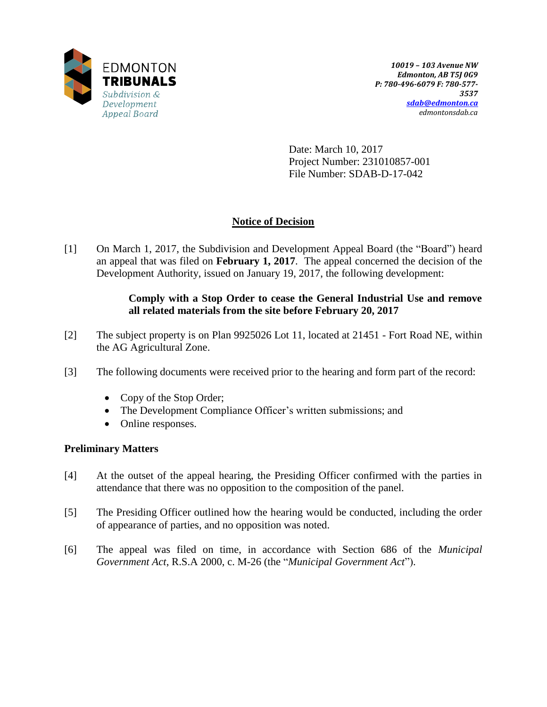

Date: March 10, 2017 Project Number: 231010857-001 File Number: SDAB-D-17-042

# **Notice of Decision**

[1] On March 1, 2017, the Subdivision and Development Appeal Board (the "Board") heard an appeal that was filed on **February 1, 2017**. The appeal concerned the decision of the Development Authority, issued on January 19, 2017, the following development:

## **Comply with a Stop Order to cease the General Industrial Use and remove all related materials from the site before February 20, 2017**

- [2] The subject property is on Plan 9925026 Lot 11, located at 21451 Fort Road NE, within the AG Agricultural Zone.
- [3] The following documents were received prior to the hearing and form part of the record:
	- Copy of the Stop Order;
	- The Development Compliance Officer's written submissions; and
	- Online responses.

## **Preliminary Matters**

- [4] At the outset of the appeal hearing, the Presiding Officer confirmed with the parties in attendance that there was no opposition to the composition of the panel.
- [5] The Presiding Officer outlined how the hearing would be conducted, including the order of appearance of parties, and no opposition was noted.
- [6] The appeal was filed on time, in accordance with Section 686 of the *Municipal Government Act*, R.S.A 2000, c. M-26 (the "*Municipal Government Act*").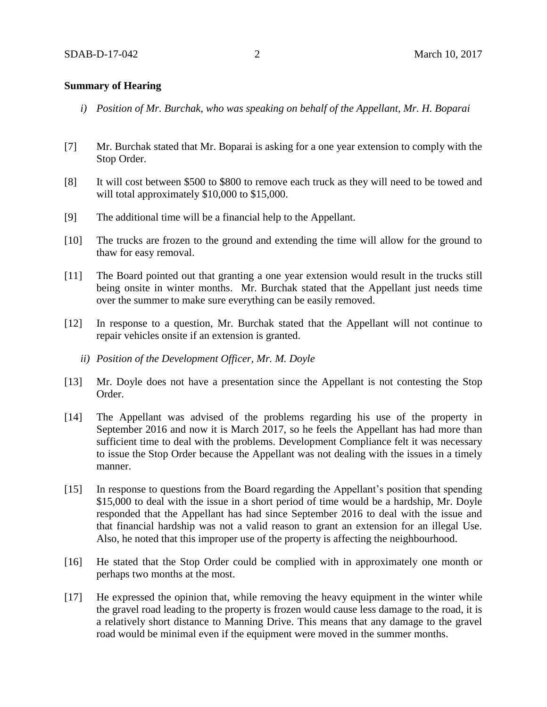#### **Summary of Hearing**

- *i) Position of Mr. Burchak, who was speaking on behalf of the Appellant, Mr. H. Boparai*
- [7] Mr. Burchak stated that Mr. Boparai is asking for a one year extension to comply with the Stop Order.
- [8] It will cost between \$500 to \$800 to remove each truck as they will need to be towed and will total approximately \$10,000 to \$15,000.
- [9] The additional time will be a financial help to the Appellant.
- [10] The trucks are frozen to the ground and extending the time will allow for the ground to thaw for easy removal.
- [11] The Board pointed out that granting a one year extension would result in the trucks still being onsite in winter months. Mr. Burchak stated that the Appellant just needs time over the summer to make sure everything can be easily removed.
- [12] In response to a question, Mr. Burchak stated that the Appellant will not continue to repair vehicles onsite if an extension is granted.
	- *ii) Position of the Development Officer, Mr. M. Doyle*
- [13] Mr. Doyle does not have a presentation since the Appellant is not contesting the Stop Order.
- [14] The Appellant was advised of the problems regarding his use of the property in September 2016 and now it is March 2017, so he feels the Appellant has had more than sufficient time to deal with the problems. Development Compliance felt it was necessary to issue the Stop Order because the Appellant was not dealing with the issues in a timely manner.
- [15] In response to questions from the Board regarding the Appellant's position that spending \$15,000 to deal with the issue in a short period of time would be a hardship, Mr. Doyle responded that the Appellant has had since September 2016 to deal with the issue and that financial hardship was not a valid reason to grant an extension for an illegal Use. Also, he noted that this improper use of the property is affecting the neighbourhood.
- [16] He stated that the Stop Order could be complied with in approximately one month or perhaps two months at the most.
- [17] He expressed the opinion that, while removing the heavy equipment in the winter while the gravel road leading to the property is frozen would cause less damage to the road, it is a relatively short distance to Manning Drive. This means that any damage to the gravel road would be minimal even if the equipment were moved in the summer months.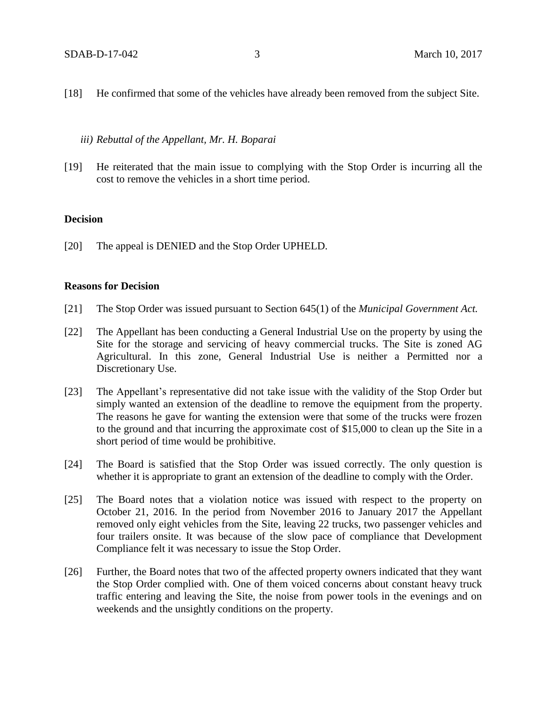- [18] He confirmed that some of the vehicles have already been removed from the subject Site.
	- *iii) Rebuttal of the Appellant, Mr. H. Boparai*
- [19] He reiterated that the main issue to complying with the Stop Order is incurring all the cost to remove the vehicles in a short time period.

#### **Decision**

[20] The appeal is DENIED and the Stop Order UPHELD.

#### **Reasons for Decision**

- [21] The Stop Order was issued pursuant to Section 645(1) of the *Municipal Government Act.*
- [22] The Appellant has been conducting a General Industrial Use on the property by using the Site for the storage and servicing of heavy commercial trucks. The Site is zoned AG Agricultural. In this zone, General Industrial Use is neither a Permitted nor a Discretionary Use.
- [23] The Appellant's representative did not take issue with the validity of the Stop Order but simply wanted an extension of the deadline to remove the equipment from the property. The reasons he gave for wanting the extension were that some of the trucks were frozen to the ground and that incurring the approximate cost of \$15,000 to clean up the Site in a short period of time would be prohibitive.
- [24] The Board is satisfied that the Stop Order was issued correctly. The only question is whether it is appropriate to grant an extension of the deadline to comply with the Order.
- [25] The Board notes that a violation notice was issued with respect to the property on October 21, 2016. In the period from November 2016 to January 2017 the Appellant removed only eight vehicles from the Site, leaving 22 trucks, two passenger vehicles and four trailers onsite. It was because of the slow pace of compliance that Development Compliance felt it was necessary to issue the Stop Order.
- [26] Further, the Board notes that two of the affected property owners indicated that they want the Stop Order complied with. One of them voiced concerns about constant heavy truck traffic entering and leaving the Site, the noise from power tools in the evenings and on weekends and the unsightly conditions on the property.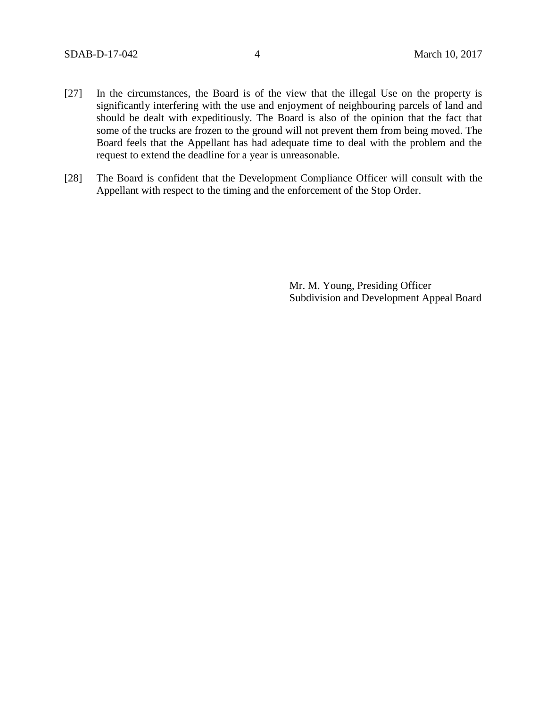- [27] In the circumstances, the Board is of the view that the illegal Use on the property is significantly interfering with the use and enjoyment of neighbouring parcels of land and should be dealt with expeditiously. The Board is also of the opinion that the fact that some of the trucks are frozen to the ground will not prevent them from being moved. The Board feels that the Appellant has had adequate time to deal with the problem and the request to extend the deadline for a year is unreasonable.
- [28] The Board is confident that the Development Compliance Officer will consult with the Appellant with respect to the timing and the enforcement of the Stop Order.

Mr. M. Young, Presiding Officer Subdivision and Development Appeal Board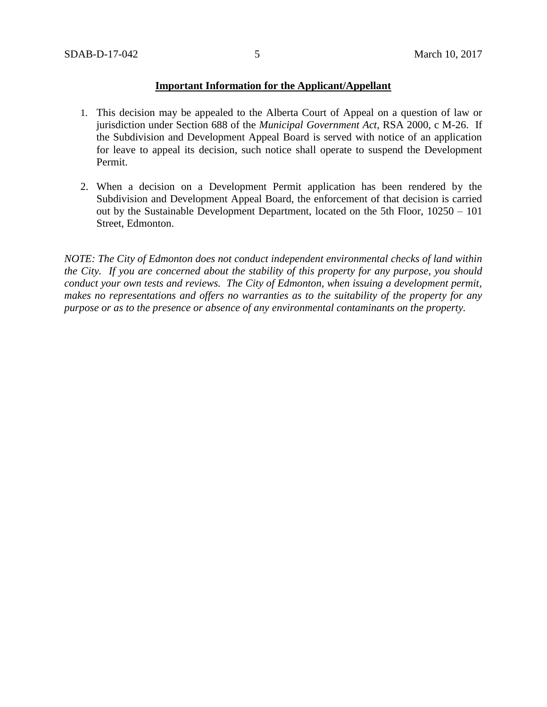## **Important Information for the Applicant/Appellant**

- 1. This decision may be appealed to the Alberta Court of Appeal on a question of law or jurisdiction under Section 688 of the *Municipal Government Act*, RSA 2000, c M-26. If the Subdivision and Development Appeal Board is served with notice of an application for leave to appeal its decision, such notice shall operate to suspend the Development Permit.
- 2. When a decision on a Development Permit application has been rendered by the Subdivision and Development Appeal Board, the enforcement of that decision is carried out by the Sustainable Development Department, located on the 5th Floor, 10250 – 101 Street, Edmonton.

*NOTE: The City of Edmonton does not conduct independent environmental checks of land within the City. If you are concerned about the stability of this property for any purpose, you should conduct your own tests and reviews. The City of Edmonton, when issuing a development permit, makes no representations and offers no warranties as to the suitability of the property for any purpose or as to the presence or absence of any environmental contaminants on the property.*